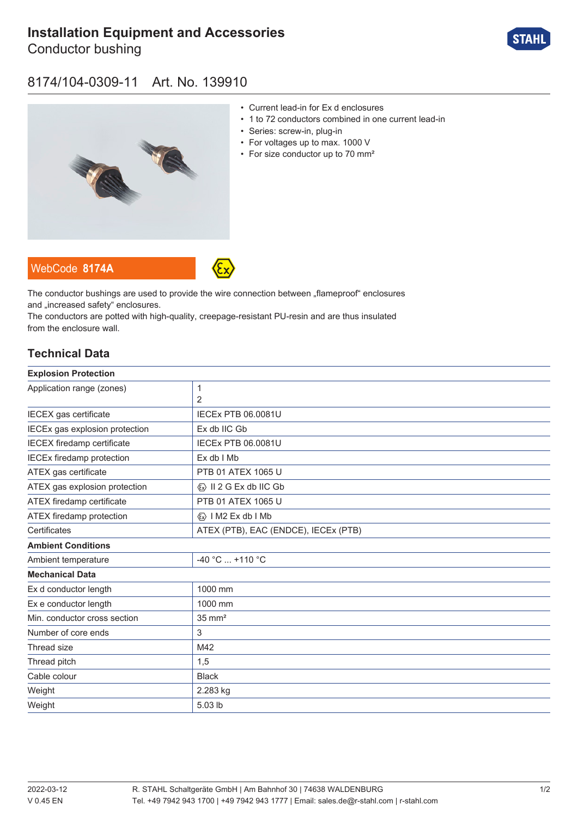# **[Installation Equipment and Accessories](https://r-stahl.com/en/global/products/materialid/139910)**

Conductor bushing



#### 8174/104-0309-11 Art. No. 139910



- Current lead-in for Ex d enclosures
- 1 to 72 conductors combined in one current lead-in
- Series: screw-in, plug-in
- For voltages up to max. 1000 V
- For size conductor up to 70 mm<sup>2</sup>





The conductor bushings are used to provide the wire connection between "flameproof" enclosures and .increased safety" enclosures.

The conductors are potted with high-quality, creepage-resistant PU-resin and are thus insulated from the enclosure wall.

#### **Technical Data**

| <b>Explosion Protection</b>       |                                         |
|-----------------------------------|-----------------------------------------|
| Application range (zones)         | 1                                       |
|                                   | $\overline{2}$                          |
| IECEX gas certificate             | <b>IECEx PTB 06.0081U</b>               |
| IECEx gas explosion protection    | Ex db IIC Gb                            |
| <b>IECEX</b> firedamp certificate | <b>IECEx PTB 06.0081U</b>               |
| <b>IECEx firedamp protection</b>  | $Ex db$ I Mb                            |
| ATEX gas certificate              | PTB 01 ATEX 1065 U                      |
| ATEX gas explosion protection     | $\langle x \rangle$ II 2 G Ex db IIC Gb |
| ATEX firedamp certificate         | PTB 01 ATEX 1065 U                      |
| ATEX firedamp protection          | $\langle x \rangle$   M2 Ex db   Mb     |
| Certificates                      | ATEX (PTB), EAC (ENDCE), IECEx (PTB)    |
| <b>Ambient Conditions</b>         |                                         |
| Ambient temperature               | $-40 °C$ +110 °C                        |
| <b>Mechanical Data</b>            |                                         |
| Ex d conductor length             | 1000 mm                                 |
| Ex e conductor length             | 1000 mm                                 |
| Min. conductor cross section      | $35 \text{ mm}^2$                       |
| Number of core ends               | 3                                       |
| Thread size                       | M42                                     |
| Thread pitch                      | 1,5                                     |
| Cable colour                      | <b>Black</b>                            |
| Weight                            | 2.283 kg                                |
| Weight                            | 5.03 lb                                 |